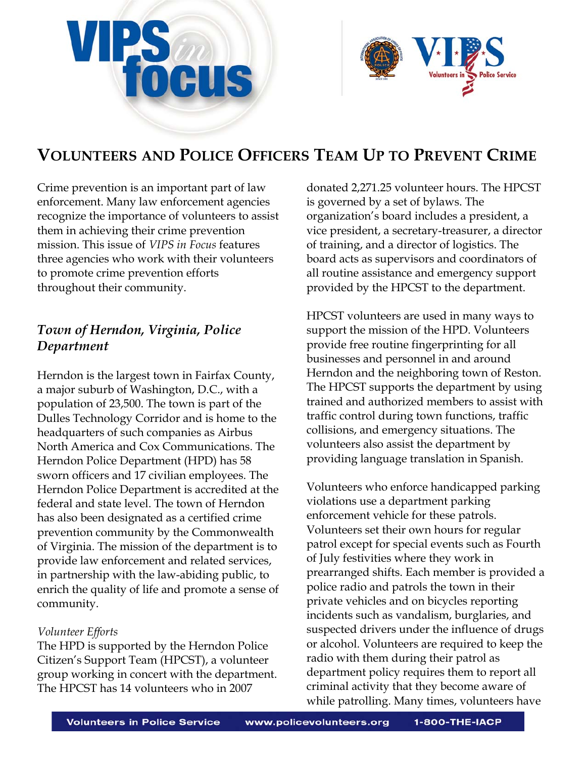



# **VOLUNTEERS AND POLICE OFFICERS TEAM UP TO PREVENT CRIME**

Crime prevention is an important part of law enforcement. Many law enforcement agencies recognize the importance of volunteers to assist them in achieving their crime prevention mission. This issue of *VIPS in Focus* features three agencies who work with their volunteers to promote crime prevention efforts throughout their community.

# *Town of Herndon, Virginia, Police Department*

Herndon is the largest town in Fairfax County, a major suburb of Washington, D.C., with a population of 23,500. The town is part of the Dulles Technology Corridor and is home to the headquarters of such companies as Airbus North America and Cox Communications. The Herndon Police Department (HPD) has 58 sworn officers and 17 civilian employees. The Herndon Police Department is accredited at the federal and state level. The town of Herndon has also been designated as a certified crime prevention community by the Commonwealth of Virginia. The mission of the department is to provide law enforcement and related services, in partnership with the law-abiding public, to enrich the quality of life and promote a sense of community.

## *Volunteer Efforts*

The HPD is supported by the Herndon Police Citizen's Support Team (HPCST), a volunteer group working in concert with the department. The HPCST has 14 volunteers who in 2007

donated 2,271.25 volunteer hours. The HPCST is governed by a set of bylaws. The organization's board includes a president, a vice president, a secretary-treasurer, a director of training, and a director of logistics. The board acts as supervisors and coordinators of all routine assistance and emergency support provided by the HPCST to the department.

HPCST volunteers are used in many ways to support the mission of the HPD. Volunteers provide free routine fingerprinting for all businesses and personnel in and around Herndon and the neighboring town of Reston. The HPCST supports the department by using trained and authorized members to assist with traffic control during town functions, traffic collisions, and emergency situations. The volunteers also assist the department by providing language translation in Spanish.

Volunteers who enforce handicapped parking violations use a department parking enforcement vehicle for these patrols. Volunteers set their own hours for regular patrol except for special events such as Fourth of July festivities where they work in prearranged shifts. Each member is provided a police radio and patrols the town in their private vehicles and on bicycles reporting incidents such as vandalism, burglaries, and suspected drivers under the influence of drugs or alcohol. Volunteers are required to keep the radio with them during their patrol as department policy requires them to report all criminal activity that they become aware of while patrolling. Many times, volunteers have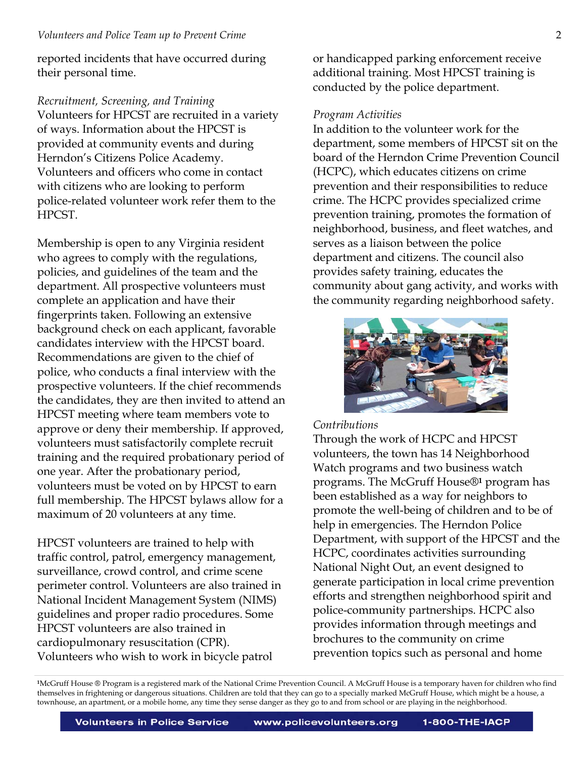reported incidents that have occurred during their personal time.

*Recruitment, Screening, and Training*  Volunteers for HPCST are recruited in a variety of ways. Information about the HPCST is provided at community events and during Herndon's Citizens Police Academy. Volunteers and officers who come in contact with citizens who are looking to perform police-related volunteer work refer them to the HPCST.

Membership is open to any Virginia resident who agrees to comply with the regulations, policies, and guidelines of the team and the department. All prospective volunteers must complete an application and have their fingerprints taken. Following an extensive background check on each applicant, favorable candidates interview with the HPCST board. Recommendations are given to the chief of police, who conducts a final interview with the prospective volunteers. If the chief recommends the candidates, they are then invited to attend an HPCST meeting where team members vote to approve or deny their membership. If approved, volunteers must satisfactorily complete recruit training and the required probationary period of one year. After the probationary period, volunteers must be voted on by HPCST to earn full membership. The HPCST bylaws allow for a maximum of 20 volunteers at any time.

HPCST volunteers are trained to help with traffic control, patrol, emergency management, surveillance, crowd control, and crime scene perimeter control. Volunteers are also trained in National Incident Management System (NIMS) guidelines and proper radio procedures. Some HPCST volunteers are also trained in cardiopulmonary resuscitation (CPR). Volunteers who wish to work in bicycle patrol

or handicapped parking enforcement receive additional training. Most HPCST training is conducted by the police department.

## *Program Activities*

In addition to the volunteer work for the department, some members of HPCST sit on the board of the Herndon Crime Prevention Council (HCPC), which educates citizens on crime prevention and their responsibilities to reduce crime. The HCPC provides specialized crime prevention training, promotes the formation of neighborhood, business, and fleet watches, and serves as a liaison between the police department and citizens. The council also provides safety training, educates the community about gang activity, and works with the community regarding neighborhood safety.



#### *Contributions*

Through the work of HCPC and HPCST volunteers, the town has 14 Neighborhood Watch programs and two business watch programs. The McGruff House®**1** program has been established as a way for neighbors to promote the well-being of children and to be of help in emergencies. The Herndon Police Department, with support of the HPCST and the HCPC, coordinates activities surrounding National Night Out, an event designed to generate participation in local crime prevention efforts and strengthen neighborhood spirit and police-community partnerships. HCPC also provides information through meetings and brochures to the community on crime prevention topics such as personal and home

**<sup>1</sup>**McGruff House ® Program is a registered mark of the National Crime Prevention Council. A McGruff House is a temporary haven for children who find themselves in frightening or dangerous situations. Children are told that they can go to a specially marked McGruff House, which might be a house, a townhouse, an apartment, or a mobile home, any time they sense danger as they go to and from school or are playing in the neighborhood.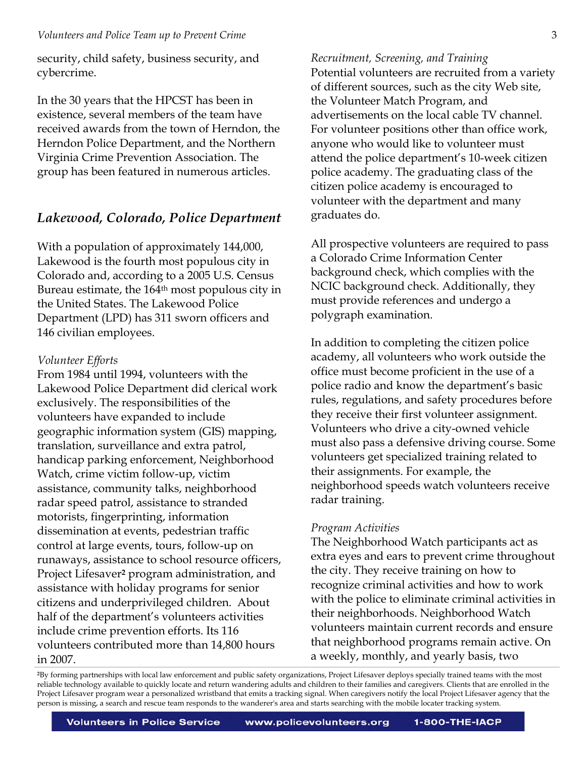security, child safety, business security, and cybercrime.

In the 30 years that the HPCST has been in existence, several members of the team have received awards from the town of Herndon, the Herndon Police Department, and the Northern Virginia Crime Prevention Association. The group has been featured in numerous articles.

## *Lakewood, Colorado, Police Department*

With a population of approximately 144,000, Lakewood is the fourth most populous city in Colorado and, according to a 2005 U.S. Census Bureau estimate, the 164<sup>th</sup> most populous city in the United States. The Lakewood Police Department (LPD) has 311 sworn officers and 146 civilian employees.

#### *Volunteer Efforts*

From 1984 until 1994, volunteers with the Lakewood Police Department did clerical work exclusively. The responsibilities of the volunteers have expanded to include geographic information system (GIS) mapping, translation, surveillance and extra patrol, handicap parking enforcement, Neighborhood Watch, crime victim follow-up, victim assistance, community talks, neighborhood radar speed patrol, assistance to stranded motorists, fingerprinting, information dissemination at events, pedestrian traffic control at large events, tours, follow-up on runaways, assistance to school resource officers, Project Lifesaver**2** program administration, and assistance with holiday programs for senior citizens and underprivileged children. About half of the department's volunteers activities include crime prevention efforts. Its 116 volunteers contributed more than 14,800 hours in 2007.

*Recruitment, Screening, and Training* 

Potential volunteers are recruited from a variety of different sources, such as the city Web site, the Volunteer Match Program, and advertisements on the local cable TV channel. For volunteer positions other than office work, anyone who would like to volunteer must attend the police department's 10-week citizen police academy. The graduating class of the citizen police academy is encouraged to volunteer with the department and many graduates do.

All prospective volunteers are required to pass a Colorado Crime Information Center background check, which complies with the NCIC background check. Additionally, they must provide references and undergo a polygraph examination.

In addition to completing the citizen police academy, all volunteers who work outside the office must become proficient in the use of a police radio and know the department's basic rules, regulations, and safety procedures before they receive their first volunteer assignment. Volunteers who drive a city-owned vehicle must also pass a defensive driving course. Some volunteers get specialized training related to their assignments. For example, the neighborhood speeds watch volunteers receive radar training.

#### *Program Activities*

The Neighborhood Watch participants act as extra eyes and ears to prevent crime throughout the city. They receive training on how to recognize criminal activities and how to work with the police to eliminate criminal activities in their neighborhoods. Neighborhood Watch volunteers maintain current records and ensure that neighborhood programs remain active. On a weekly, monthly, and yearly basis, two

**<sup>2</sup>**By forming partnerships with local law enforcement and public safety organizations, Project Lifesaver deploys specially trained teams with the most reliable technology available to quickly locate and return wandering adults and children to their families and caregivers. Clients that are enrolled in the Project Lifesaver program wear a personalized wristband that emits a tracking signal. When caregivers notify the local Project Lifesaver agency that the person is missing, a search and rescue team responds to the wanderer's area and starts searching with the mobile locater tracking system.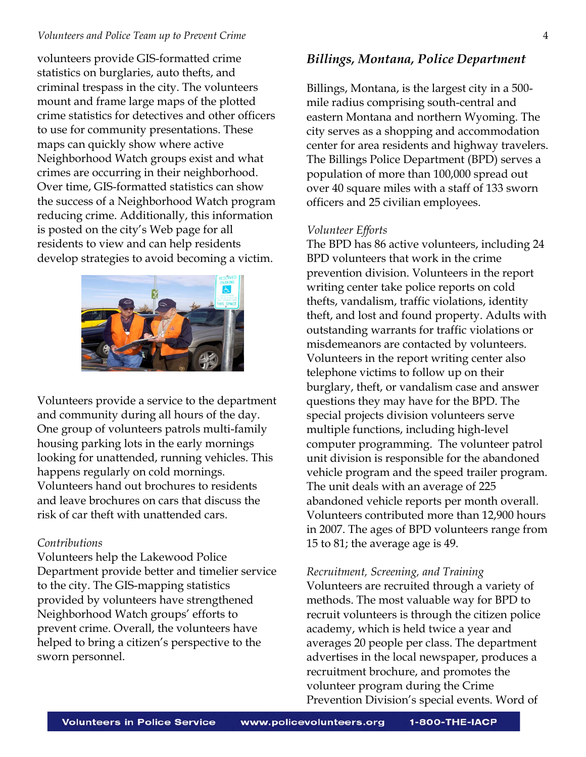#### *Volunteers and Police Team up to Prevent Crime* 4

volunteers provide GIS-formatted crime statistics on burglaries, auto thefts, and criminal trespass in the city. The volunteers mount and frame large maps of the plotted crime statistics for detectives and other officers to use for community presentations. These maps can quickly show where active Neighborhood Watch groups exist and what crimes are occurring in their neighborhood. Over time, GIS-formatted statistics can show the success of a Neighborhood Watch program reducing crime. Additionally, this information is posted on the city's Web page for all residents to view and can help residents develop strategies to avoid becoming a victim.



Volunteers provide a service to the department and community during all hours of the day. One group of volunteers patrols multi-family housing parking lots in the early mornings looking for unattended, running vehicles. This happens regularly on cold mornings. Volunteers hand out brochures to residents and leave brochures on cars that discuss the risk of car theft with unattended cars.

#### *Contributions*

Volunteers help the Lakewood Police Department provide better and timelier service to the city. The GIS-mapping statistics provided by volunteers have strengthened Neighborhood Watch groups' efforts to prevent crime. Overall, the volunteers have helped to bring a citizen's perspective to the sworn personnel.

## *Billings, Montana, Police Department*

Billings, Montana, is the largest city in a 500 mile radius comprising south-central and eastern Montana and northern Wyoming. The city serves as a shopping and accommodation center for area residents and highway travelers. The Billings Police Department (BPD) serves a population of more than 100,000 spread out over 40 square miles with a staff of 133 sworn officers and 25 civilian employees.

#### *Volunteer Efforts*

The BPD has 86 active volunteers, including 24 BPD volunteers that work in the crime prevention division. Volunteers in the report writing center take police reports on cold thefts, vandalism, traffic violations, identity theft, and lost and found property. Adults with outstanding warrants for traffic violations or misdemeanors are contacted by volunteers. Volunteers in the report writing center also telephone victims to follow up on their burglary, theft, or vandalism case and answer questions they may have for the BPD. The special projects division volunteers serve multiple functions, including high-level computer programming. The volunteer patrol unit division is responsible for the abandoned vehicle program and the speed trailer program. The unit deals with an average of 225 abandoned vehicle reports per month overall. Volunteers contributed more than 12,900 hours in 2007. The ages of BPD volunteers range from 15 to 81; the average age is 49.

#### *Recruitment, Screening, and Training*

Volunteers are recruited through a variety of methods. The most valuable way for BPD to recruit volunteers is through the citizen police academy, which is held twice a year and averages 20 people per class. The department advertises in the local newspaper, produces a recruitment brochure, and promotes the volunteer program during the Crime Prevention Division's special events. Word of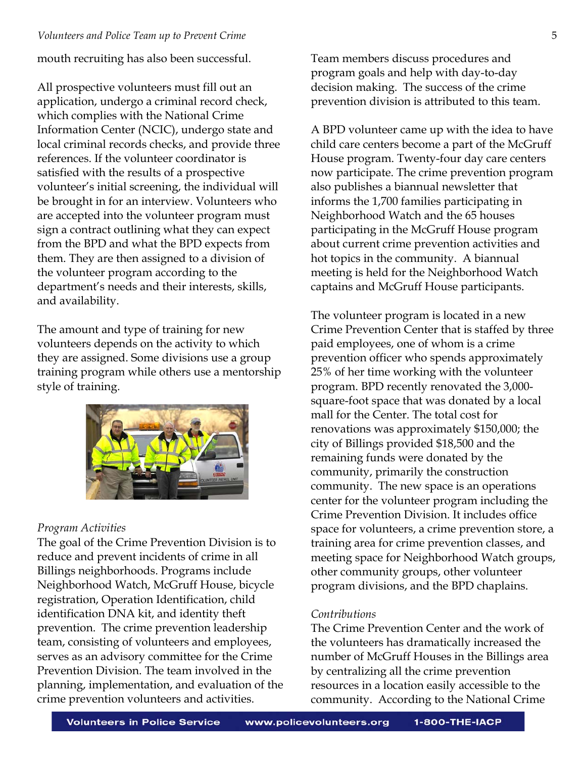mouth recruiting has also been successful.

All prospective volunteers must fill out an application, undergo a criminal record check, which complies with the National Crime Information Center (NCIC), undergo state and local criminal records checks, and provide three references. If the volunteer coordinator is satisfied with the results of a prospective volunteer's initial screening, the individual will be brought in for an interview. Volunteers who are accepted into the volunteer program must sign a contract outlining what they can expect from the BPD and what the BPD expects from them. They are then assigned to a division of the volunteer program according to the department's needs and their interests, skills, and availability.

The amount and type of training for new volunteers depends on the activity to which they are assigned. Some divisions use a group training program while others use a mentorship style of training.



## *Program Activities*

The goal of the Crime Prevention Division is to reduce and prevent incidents of crime in all Billings neighborhoods. Programs include Neighborhood Watch, McGruff House, bicycle registration, Operation Identification, child identification DNA kit, and identity theft prevention. The crime prevention leadership team, consisting of volunteers and employees, serves as an advisory committee for the Crime Prevention Division. The team involved in the planning, implementation, and evaluation of the crime prevention volunteers and activities.

Team members discuss procedures and program goals and help with day-to-day decision making. The success of the crime prevention division is attributed to this team.

A BPD volunteer came up with the idea to have child care centers become a part of the McGruff House program. Twenty-four day care centers now participate. The crime prevention program also publishes a biannual newsletter that informs the 1,700 families participating in Neighborhood Watch and the 65 houses participating in the McGruff House program about current crime prevention activities and hot topics in the community. A biannual meeting is held for the Neighborhood Watch captains and McGruff House participants.

The volunteer program is located in a new Crime Prevention Center that is staffed by three paid employees, one of whom is a crime prevention officer who spends approximately 25% of her time working with the volunteer program. BPD recently renovated the 3,000 square-foot space that was donated by a local mall for the Center. The total cost for renovations was approximately \$150,000; the city of Billings provided \$18,500 and the remaining funds were donated by the community, primarily the construction community. The new space is an operations center for the volunteer program including the Crime Prevention Division. It includes office space for volunteers, a crime prevention store, a training area for crime prevention classes, and meeting space for Neighborhood Watch groups, other community groups, other volunteer program divisions, and the BPD chaplains.

## *Contributions*

The Crime Prevention Center and the work of the volunteers has dramatically increased the number of McGruff Houses in the Billings area by centralizing all the crime prevention resources in a location easily accessible to the community. According to the National Crime